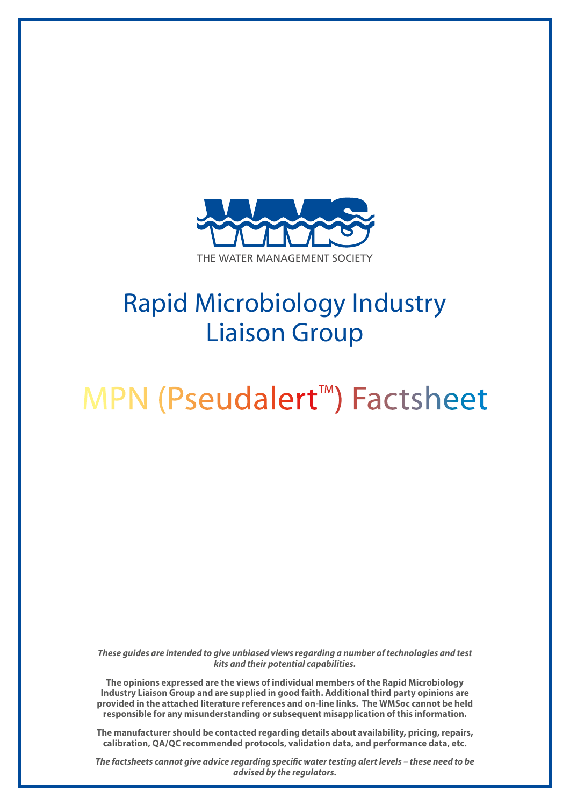

## Rapid Microbiology Industry Liaison Group

# MPN (Pseudalert™) Factsheet

*These guides are intended to give unbiased views regarding a number of technologies and test kits and their potential capabilities.*

**The opinions expressed are the views of individual members of the Rapid Microbiology Industry Liaison Group and are supplied in good faith. Additional third party opinions are provided in the attached literature references and on-line links. The WMSoc cannot be held responsible for any misunderstanding or subsequent misapplication of this information.**

**The manufacturer should be contacted regarding details about availability, pricing, repairs, calibration, QA/QC recommended protocols, validation data, and performance data, etc.**

*The factsheets cannot give advice regarding specific water testing alert levels – these need to be advised by the regulators.*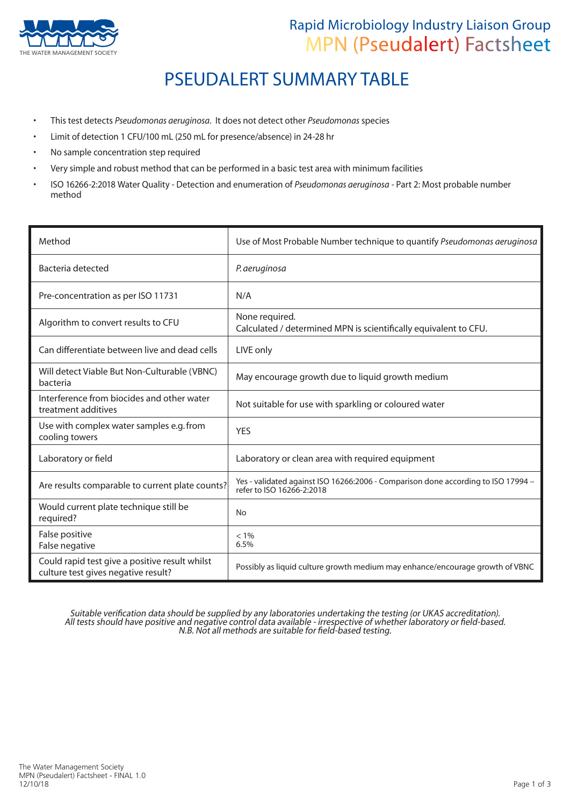

### Rapid Microbiology Industry Liaison Group MPN (Pseudalert) Factsheet

## PSEUDALERT SUMMARY TABLE

- This test detects *Pseudomonas aeruginosa*. It does not detect other *Pseudomonas* species
- Limit of detection 1 CFU/100 mL (250 mL for presence/absence) in 24-28 hr
- No sample concentration step required
- Very simple and robust method that can be performed in a basic test area with minimum facilities
- ISO 16266-2:2018 Water Quality Detection and enumeration of *Pseudomonas aeruginosa* Part 2: Most probable number method

| Method                                                                                | Use of Most Probable Number technique to quantify Pseudomonas aeruginosa                                       |
|---------------------------------------------------------------------------------------|----------------------------------------------------------------------------------------------------------------|
| Bacteria detected                                                                     | P. aeruginosa                                                                                                  |
| Pre-concentration as per ISO 11731                                                    | N/A                                                                                                            |
| Algorithm to convert results to CFU                                                   | None required.<br>Calculated / determined MPN is scientifically equivalent to CFU.                             |
| Can differentiate between live and dead cells                                         | LIVE only                                                                                                      |
| Will detect Viable But Non-Culturable (VBNC)<br>bacteria                              | May encourage growth due to liquid growth medium                                                               |
| Interference from biocides and other water<br>treatment additives                     | Not suitable for use with sparkling or coloured water                                                          |
| Use with complex water samples e.g. from<br>cooling towers                            | <b>YES</b>                                                                                                     |
| Laboratory or field                                                                   | Laboratory or clean area with required equipment                                                               |
| Are results comparable to current plate counts?                                       | Yes - validated against ISO 16266:2006 - Comparison done according to ISO 17994 -<br>refer to ISO 16266-2:2018 |
| Would current plate technique still be<br>required?                                   | <b>No</b>                                                                                                      |
| False positive<br>False negative                                                      | $< 1\%$<br>6.5%                                                                                                |
| Could rapid test give a positive result whilst<br>culture test gives negative result? | Possibly as liquid culture growth medium may enhance/encourage growth of VBNC                                  |

Suitable verification data should be supplied by any laboratories undertaking the testing (or UKAS accreditation). All tests should have positive and negative control data available - irrespective of whether laboratory or field-based. N.B. Not all methods are suitable for field-based testing.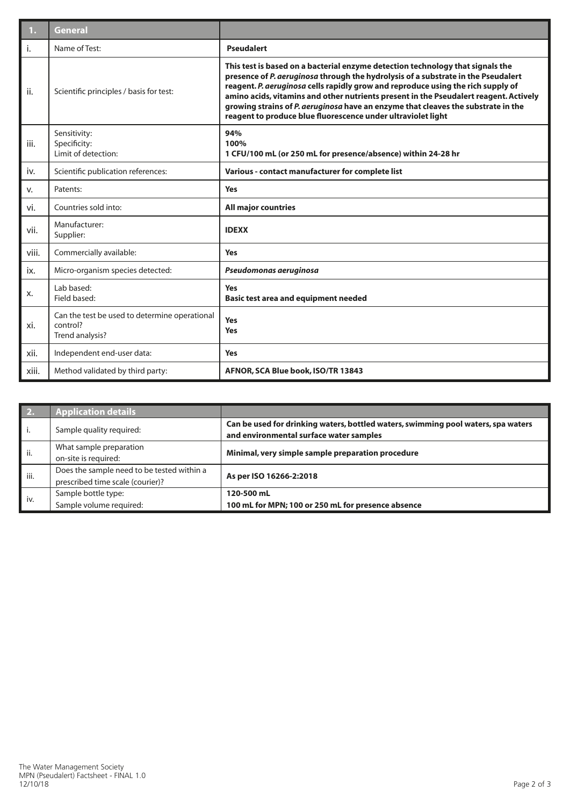| 1.    | <b>General</b>                                                               |                                                                                                                                                                                                                                                                                                                                                                                                                                                                                                       |  |
|-------|------------------------------------------------------------------------------|-------------------------------------------------------------------------------------------------------------------------------------------------------------------------------------------------------------------------------------------------------------------------------------------------------------------------------------------------------------------------------------------------------------------------------------------------------------------------------------------------------|--|
| i.    | Name of Test:                                                                | <b>Pseudalert</b>                                                                                                                                                                                                                                                                                                                                                                                                                                                                                     |  |
| ii.   | Scientific principles / basis for test:                                      | This test is based on a bacterial enzyme detection technology that signals the<br>presence of P. aeruginosa through the hydrolysis of a substrate in the Pseudalert<br>reagent. P. aeruginosa cells rapidly grow and reproduce using the rich supply of<br>amino acids, vitamins and other nutrients present in the Pseudalert reagent. Actively<br>growing strains of P. aeruginosa have an enzyme that cleaves the substrate in the<br>reagent to produce blue fluorescence under ultraviolet light |  |
| iii.  | Sensitivity:<br>Specificity:<br>Limit of detection:                          | 94%<br>100%<br>1 CFU/100 mL (or 250 mL for presence/absence) within 24-28 hr                                                                                                                                                                                                                                                                                                                                                                                                                          |  |
| iv.   | Scientific publication references:                                           | Various - contact manufacturer for complete list                                                                                                                                                                                                                                                                                                                                                                                                                                                      |  |
| v.    | Patents:                                                                     | <b>Yes</b>                                                                                                                                                                                                                                                                                                                                                                                                                                                                                            |  |
| vi.   | Countries sold into:                                                         | <b>All major countries</b>                                                                                                                                                                                                                                                                                                                                                                                                                                                                            |  |
| vii.  | Manufacturer:<br>Supplier:                                                   | <b>IDEXX</b>                                                                                                                                                                                                                                                                                                                                                                                                                                                                                          |  |
| viii. | Commercially available:                                                      | <b>Yes</b>                                                                                                                                                                                                                                                                                                                                                                                                                                                                                            |  |
| ix.   | Micro-organism species detected:                                             | Pseudomonas aeruginosa                                                                                                                                                                                                                                                                                                                                                                                                                                                                                |  |
| х.    | Lab based:<br>Field based:                                                   | <b>Yes</b><br><b>Basic test area and equipment needed</b>                                                                                                                                                                                                                                                                                                                                                                                                                                             |  |
| xi.   | Can the test be used to determine operational<br>control?<br>Trend analysis? | <b>Yes</b><br><b>Yes</b>                                                                                                                                                                                                                                                                                                                                                                                                                                                                              |  |
| xii.  | Independent end-user data:                                                   | <b>Yes</b>                                                                                                                                                                                                                                                                                                                                                                                                                                                                                            |  |
| xiii. | Method validated by third party:                                             | AFNOR, SCA Blue book, ISO/TR 13843                                                                                                                                                                                                                                                                                                                                                                                                                                                                    |  |

| <b>2.</b> | <b>Application details</b>                                                     |                                                                                                                              |
|-----------|--------------------------------------------------------------------------------|------------------------------------------------------------------------------------------------------------------------------|
| i.        | Sample quality required:                                                       | Can be used for drinking waters, bottled waters, swimming pool waters, spa waters<br>and environmental surface water samples |
| ii.       | What sample preparation<br>on-site is required:                                | Minimal, very simple sample preparation procedure                                                                            |
| iii.      | Does the sample need to be tested within a<br>prescribed time scale (courier)? | As per ISO 16266-2:2018                                                                                                      |
| iv.       | Sample bottle type:<br>Sample volume required:                                 | 120-500 mL<br>100 mL for MPN; 100 or 250 mL for presence absence                                                             |